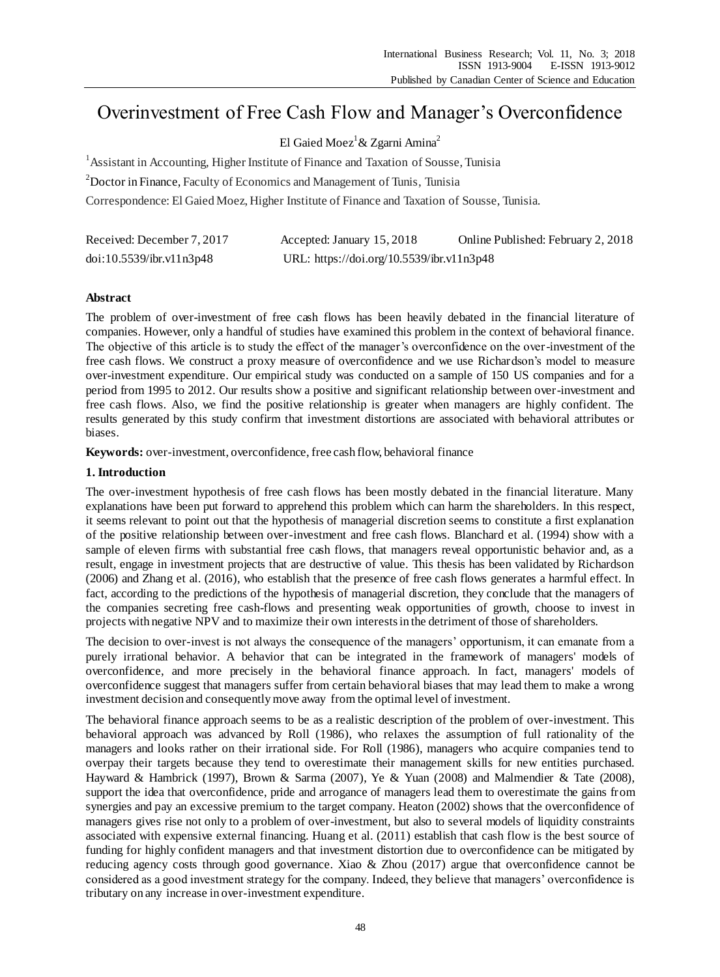# Overinvestment of Free Cash Flow and Manager's Overconfidence

El Gaied Moez<sup>1</sup> & Zgarni Amina<sup>2</sup>

<sup>1</sup> Assistant in Accounting, Higher Institute of Finance and Taxation of Sousse, Tunisia

<sup>2</sup>Doctor in Finance, Faculty of Economics and Management of Tunis, Tunisia

Correspondence: El Gaied Moez, Higher Institute of Finance and Taxation of Sousse, Tunisia.

| Received: December 7, 2017 | Accepted: January 15, 2018                | Online Published: February 2, 2018 |
|----------------------------|-------------------------------------------|------------------------------------|
| doi:10.5539/ibr.v11n3p48   | URL: https://doi.org/10.5539/ibr.v11n3p48 |                                    |

# **Abstract**

The problem of over-investment of free cash flows has been heavily debated in the financial literature of companies. However, only a handful of studies have examined this problem in the context of behavioral finance. The objective of this article is to study the effect of the manager's overconfidence on the over-investment of the free cash flows. We construct a proxy measure of overconfidence and we use Richardson's model to measure over-investment expenditure. Our empirical study was conducted on a sample of 150 US companies and for a period from 1995 to 2012. Our results show a positive and significant relationship between over-investment and free cash flows. Also, we find the positive relationship is greater when managers are highly confident. The results generated by this study confirm that investment distortions are associated with behavioral attributes or biases.

**Keywords:** over-investment, overconfidence, free cash flow, behavioral finance

# **1. Introduction**

The over-investment hypothesis of free cash flows has been mostly debated in the financial literature. Many explanations have been put forward to apprehend this problem which can harm the shareholders. In this respect, it seems relevant to point out that the hypothesis of managerial discretion seems to constitute a first explanation of the positive relationship between over-investment and free cash flows. Blanchard et al. (1994) show with a sample of eleven firms with substantial free cash flows, that managers reveal opportunistic behavior and, as a result, engage in investment projects that are destructive of value. This thesis has been validated by Richardson (2006) and Zhang et al. (2016), who establish that the presence of free cash flows generates a harmful effect. In fact, according to the predictions of the hypothesis of managerial discretion, they conclude that the managers of the companies secreting free cash-flows and presenting weak opportunities of growth, choose to invest in projects with negative NPV and to maximize their own interests in the detriment of those of shareholders.

The decision to over-invest is not always the consequence of the managers' opportunism, it can emanate from a purely irrational behavior. A behavior that can be integrated in the framework of managers' models of overconfidence, and more precisely in the behavioral finance approach. In fact, managers' models of overconfidence suggest that managers suffer from certain behavioral biases that may lead them to make a wrong investment decision and consequently move away from the optimal level of investment.

The behavioral finance approach seems to be as a realistic description of the problem of over-investment. This behavioral approach was advanced by Roll (1986), who relaxes the assumption of full rationality of the managers and looks rather on their irrational side. For Roll (1986), managers who acquire companies tend to overpay their targets because they tend to overestimate their management skills for new entities purchased. Hayward & Hambrick (1997), Brown & Sarma (2007), Ye & Yuan (2008) and Malmendier & Tate (2008), support the idea that overconfidence, pride and arrogance of managers lead them to overestimate the gains from synergies and pay an excessive premium to the target company. Heaton (2002) shows that the overconfidence of managers gives rise not only to a problem of over-investment, but also to several models of liquidity constraints associated with expensive external financing. Huang et al. (2011) establish that cash flow is the best source of funding for highly confident managers and that investment distortion due to overconfidence can be mitigated by reducing agency costs through good governance. Xiao & Zhou (2017) argue that overconfidence cannot be considered as a good investment strategy for the company. Indeed, they believe that managers' overconfidence is tributary on any increase in over-investment expenditure.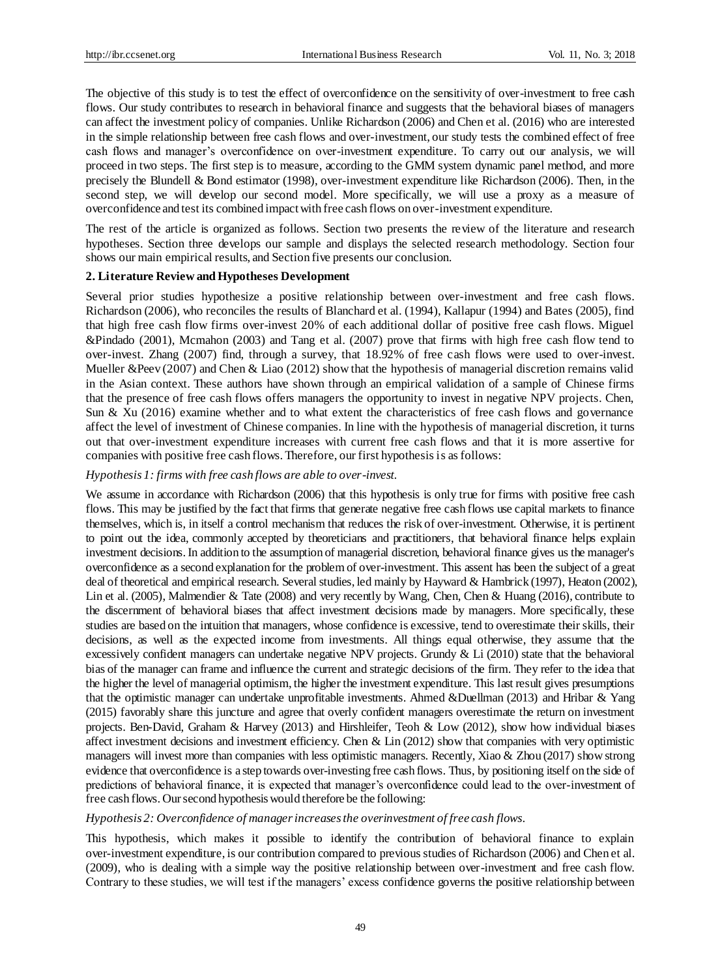The objective of this study is to test the effect of overconfidence on the sensitivity of over-investment to free cash flows. Our study contributes to research in behavioral finance and suggests that the behavioral biases of managers can affect the investment policy of companies. Unlike Richardson (2006) and Chen et al. (2016) who are interested in the simple relationship between free cash flows and over-investment, our study tests the combined effect of free cash flows and manager's overconfidence on over-investment expenditure. To carry out our analysis, we will proceed in two steps. The first step is to measure, according to the GMM system dynamic panel method, and more precisely the Blundell & Bond estimator (1998), over-investment expenditure like Richardson (2006). Then, in the second step, we will develop our second model. More specifically, we will use a proxy as a measure of overconfidence and test its combined impact with free cash flows on over-investment expenditure.

The rest of the article is organized as follows. Section two presents the review of the literature and research hypotheses. Section three develops our sample and displays the selected research methodology. Section four shows our main empirical results, and Section five presents our conclusion.

#### **2. Literature Review and Hypotheses Development**

Several prior studies hypothesize a positive relationship between over-investment and free cash flows. Richardson (2006), who reconciles the results of Blanchard et al. (1994), Kallapur (1994) and Bates (2005), find that high free cash flow firms over-invest 20% of each additional dollar of positive free cash flows. Miguel &Pindado (2001), Mcmahon (2003) and Tang et al. (2007) prove that firms with high free cash flow tend to over-invest. Zhang (2007) find, through a survey, that 18.92% of free cash flows were used to over-invest. Mueller &Peev (2007) and Chen & Liao (2012) show that the hypothesis of managerial discretion remains valid in the Asian context. These authors have shown through an empirical validation of a sample of Chinese firms that the presence of free cash flows offers managers the opportunity to invest in negative NPV projects. Chen, Sun & Xu (2016) examine whether and to what extent the characteristics of free cash flows and governance affect the level of investment of Chinese companies. In line with the hypothesis of managerial discretion, it turns out that over-investment expenditure increases with current free cash flows and that it is more assertive for companies with positive free cash flows. Therefore, our first hypothesis is as follows:

#### *Hypothesis 1: firms with free cash flows are able to over-invest.*

We assume in accordance with Richardson (2006) that this hypothesis is only true for firms with positive free cash flows. This may be justified by the fact that firms that generate negative free cash flows use capital markets to finance themselves, which is, in itself a control mechanism that reduces the risk of over-investment. Otherwise, it is pertinent to point out the idea, commonly accepted by theoreticians and practitioners, that behavioral finance helps explain investment decisions. In addition to the assumption of managerial discretion, behavioral finance gives us the manager's overconfidence as a second explanation for the problem of over-investment. This assent has been the subject of a great deal of theoretical and empirical research. Several studies, led mainly by Hayward & Hambrick (1997), Heaton (2002), Lin et al. (2005), Malmendier & Tate (2008) and very recently by Wang, Chen, Chen & Huang (2016), contribute to the discernment of behavioral biases that affect investment decisions made by managers. More specifically, these studies are based on the intuition that managers, whose confidence is excessive, tend to overestimate their skills, their decisions, as well as the expected income from investments. All things equal otherwise, they assume that the excessively confident managers can undertake negative NPV projects. Grundy & Li (2010) state that the behavioral bias of the manager can frame and influence the current and strategic decisions of the firm. They refer to the idea that the higher the level of managerial optimism, the higher the investment expenditure. This last result gives presumptions that the optimistic manager can undertake unprofitable investments. Ahmed &Duellman (2013) and Hribar & Yang (2015) favorably share this juncture and agree that overly confident managers overestimate the return on investment projects. Ben-David, Graham & Harvey (2013) and Hirshleifer, Teoh & Low (2012), show how individual biases affect investment decisions and investment efficiency. Chen & Lin (2012) show that companies with very optimistic managers will invest more than companies with less optimistic managers. Recently, Xiao & Zhou (2017) show strong evidence that overconfidence is a step towards over-investing free cash flows. Thus, by positioning itself on the side of predictions of behavioral finance, it is expected that manager's overconfidence could lead to the over-investment of free cash flows. Our second hypothesis would therefore be the following:

## *Hypothesis 2: Overconfidence of manager increases the overinvestment of free cash flows.*

This hypothesis, which makes it possible to identify the contribution of behavioral finance to explain over-investment expenditure, is our contribution compared to previous studies of Richardson (2006) and Chen et al. (2009), who is dealing with a simple way the positive relationship between over-investment and free cash flow. Contrary to these studies, we will test if the managers' excess confidence governs the positive relationship between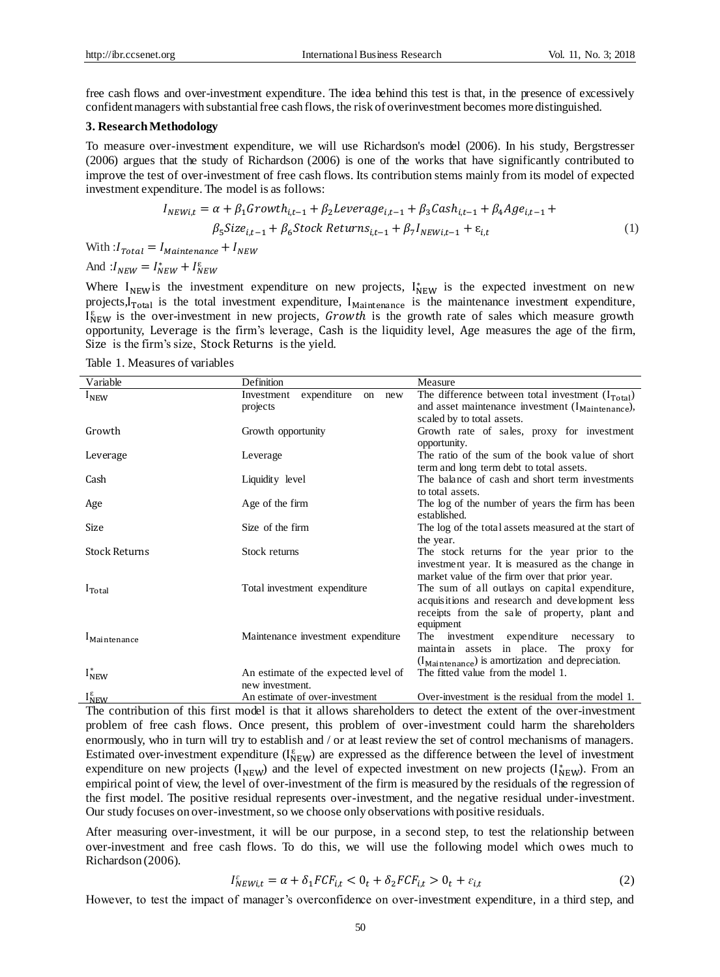free cash flows and over-investment expenditure. The idea behind this test is that, in the presence of excessively confident managers with substantial free cash flows, the risk of overinvestment becomes more distinguished.

## **3. Research Methodology**

To measure over-investment expenditure, we will use Richardson's model (2006). In his study, Bergstresser (2006) argues that the study of Richardson (2006) is one of the works that have significantly contributed to improve the test of over-investment of free cash flows. Its contribution stems mainly from its model of expected investment expenditure. The model is as follows:

$$
I_{NEWi,t} = \alpha + \beta_1 Growth_{i,t-1} + \beta_2 Leverage_{i,t-1} + \beta_3 Cash_{i,t-1} + \beta_4 Age_{i,t-1} + \n\beta_5 Size_{i,t-1} + \beta_6 Stock Returns_{i,t-1} + \beta_7 I_{NEWi,t-1} + \varepsilon_{i,t}
$$
\n(1)

With : $I_{Total} = I_{Maintenance} + I_{NEW}$ 

And 
$$
:I_{NEW} = I_{NEW}^* + I_{NEW}^{\varepsilon}
$$

Where  $I_{NEW}$  is the investment expenditure on new projects,  $I_{NEW}^*$  is the expected investment on new projects, $I_{\text{Total}}$  is the total investment expenditure,  $I_{\text{Maintenance}}$  is the maintenance investment expenditure,  $I_{NEW}^{\varepsilon}$  is the over-investment in new projects, *Growth* is the growth rate of sales which measure growth opportunity, Leverage is the firm's leverage, Cash is the liquidity level, Age measures the age of the firm, Size is the firm's size, Stock Returns is the yield.

Table 1. Measures of variables

| Variable             | Definition                             | Measure                                                       |
|----------------------|----------------------------------------|---------------------------------------------------------------|
| <sup>1</sup> NEW     | expenditure<br>Investment<br>on<br>new | The difference between total investment $(I_{\text{Total}})$  |
|                      | projects                               | and asset maintenance investment (I <sub>Maintenance</sub> ), |
|                      |                                        | scaled by to total assets.                                    |
| Growth               | Growth opportunity                     | Growth rate of sales, proxy for investment                    |
|                      |                                        | opportunity.                                                  |
| Leverage             | Leverage                               | The ratio of the sum of the book value of short               |
|                      |                                        | term and long term debt to total assets.                      |
| Cash                 | Liquidity level                        | The balance of cash and short term investments                |
|                      |                                        | to total assets.                                              |
| Age                  | Age of the firm                        | The log of the number of years the firm has been              |
|                      |                                        | established.                                                  |
| Size                 | Size of the firm                       | The log of the total assets measured at the start of          |
|                      |                                        | the year.                                                     |
| <b>Stock Returns</b> | Stock returns                          | The stock returns for the year prior to the                   |
|                      |                                        | investment year. It is measured as the change in              |
|                      |                                        | market value of the firm over that prior year.                |
| <sup>1</sup> Total   | Total investment expenditure           | The sum of all outlays on capital expenditure,                |
|                      |                                        | acquisitions and research and development less                |
|                      |                                        | receipts from the sale of property, plant and                 |
|                      |                                        | equipment                                                     |
| <i>Maintenance</i>   | Maintenance investment expenditure     | The investment expenditure<br>necessary<br>to                 |
|                      |                                        | maintain assets in place. The proxy for                       |
|                      |                                        | (I <sub>Maintenance</sub> ) is amortization and depreciation. |
| $I_{NEW}^*$          | An estimate of the expected level of   | The fitted value from the model 1.                            |
|                      | new investment.                        |                                                               |
| $I_{NFW}^{\epsilon}$ | An estimate of over-investment         | Over-investment is the residual from the model 1.             |

 $I_{\text{NEW}}^{\epsilon}$ The contribution of this first model is that it allows shareholders to detect the extent of the over-investment problem of free cash flows. Once present, this problem of over-investment could harm the shareholders enormously, who in turn will try to establish and / or at least review the set of control mechanisms of managers. Estimated over-investment expenditure  $(I_{NEW}^{\varepsilon})$  are expressed as the difference between the level of investment expenditure on new projects  $(I_{NEW})$  and the level of expected investment on new projects  $(I_{NEW}^*)$ . From an empirical point of view, the level of over-investment of the firm is measured by the residuals of the regression of the first model. The positive residual represents over-investment, and the negative residual under-investment. Our study focuses on over-investment, so we choose only observations with positive residuals.

After measuring over-investment, it will be our purpose, in a second step, to test the relationship between over-investment and free cash flows. To do this, we will use the following model which owes much to Richardson (2006).

$$
I_{NEWi,t}^{\varepsilon} = \alpha + \delta_1 FCF_{i,t} < 0_t + \delta_2 FCF_{i,t} > 0_t + \varepsilon_{i,t} \tag{2}
$$

However, to test the impact of manager's overconfidence on over-investment expenditure, in a third step, and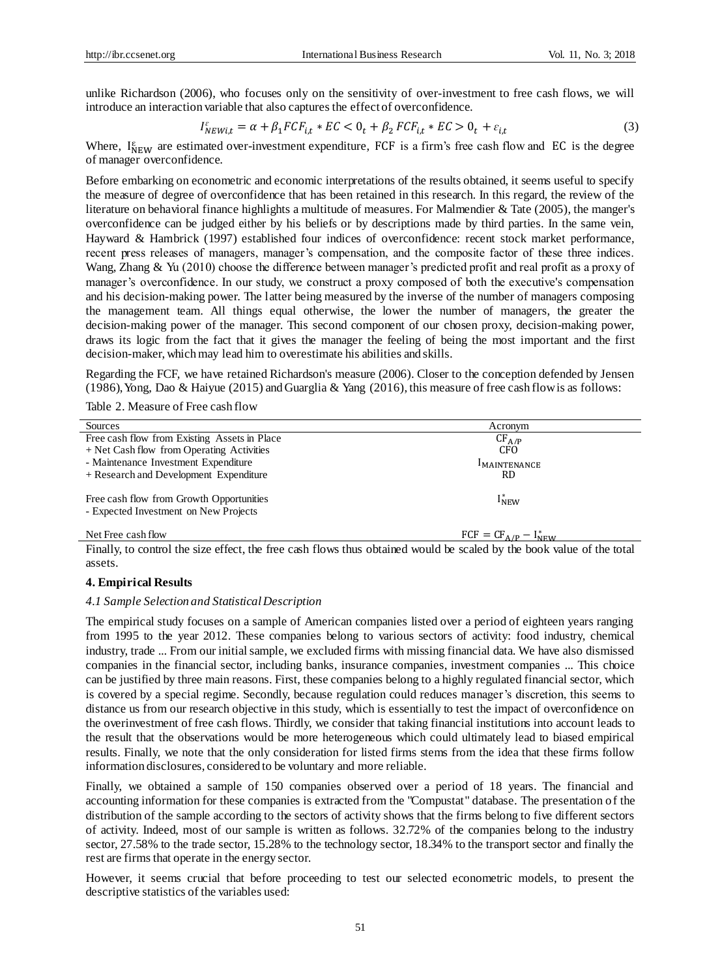unlike Richardson (2006), who focuses only on the sensitivity of over-investment to free cash flows, we will introduce an interaction variable that also captures the effect of overconfidence.

$$
I_{NEWi,t}^{\varepsilon} = \alpha + \beta_1 FCF_{i,t} * EC < 0_t + \beta_2 FCF_{i,t} * EC > 0_t + \varepsilon_{i,t}
$$
\n
$$
\tag{3}
$$

Where,  $I_{NEW}^{\epsilon}$  are estimated over-investment expenditure, FCF is a firm's free cash flow and EC is the degree of manager overconfidence.

Before embarking on econometric and economic interpretations of the results obtained, it seems useful to specify the measure of degree of overconfidence that has been retained in this research. In this regard, the review of the literature on behavioral finance highlights a multitude of measures. For Malmendier & Tate (2005), the manger's overconfidence can be judged either by his beliefs or by descriptions made by third parties. In the same vein, Hayward & Hambrick (1997) established four indices of overconfidence: recent stock market performance, recent press releases of managers, manager's compensation, and the composite factor of these three indices. Wang, Zhang & Yu (2010) choose the difference between manager's predicted profit and real profit as a proxy of manager's overconfidence. In our study, we construct a proxy composed of both the executive's compensation and his decision-making power. The latter being measured by the inverse of the number of managers composing the management team. All things equal otherwise, the lower the number of managers, the greater the decision-making power of the manager. This second component of our chosen proxy, decision-making power, draws its logic from the fact that it gives the manager the feeling of being the most important and the first decision-maker, which may lead him to overestimate his abilities and skills.

Regarding the FCF, we have retained Richardson's measure (2006). Closer to the conception defended by Jensen (1986), Yong, Dao & Haiyue (2015) and Guarglia & Yang (2016), this measure of free cash flow is as follows:

Table 2. Measure of Free cash flow

| Sources                                                                           | Acronym                      |
|-----------------------------------------------------------------------------------|------------------------------|
| Free cash flow from Existing Assets in Place                                      | $CF_{A/P}$                   |
| + Net Cash flow from Operating Activities                                         | <b>CFO</b>                   |
| - Maintenance Investment Expenditure                                              | <b>IMAINTENANCE</b>          |
| + Research and Development Expenditure<br><b>RD</b>                               |                              |
| Free cash flow from Growth Opportunities<br>- Expected Investment on New Projects | $I_{NEW}^*$                  |
| Net Free cash flow                                                                | $FCF = CF_{A/P} - I_{NFW}^*$ |

Finally, to control the size effect, the free cash flows thus obtained would be scaled by the book value of the total assets.

## **4. Empirical Results**

#### *4.1 Sample Selection and Statistical Description*

The empirical study focuses on a sample of American companies listed over a period of eighteen years ranging from 1995 to the year 2012. These companies belong to various sectors of activity: food industry, chemical industry, trade ... From our initial sample, we excluded firms with missing financial data. We have also dismissed companies in the financial sector, including banks, insurance companies, investment companies ... This choice can be justified by three main reasons. First, these companies belong to a highly regulated financial sector, which is covered by a special regime. Secondly, because regulation could reduces manager's discretion, this seems to distance us from our research objective in this study, which is essentially to test the impact of overconfidence on the overinvestment of free cash flows. Thirdly, we consider that taking financial institutions into account leads to the result that the observations would be more heterogeneous which could ultimately lead to biased empirical results. Finally, we note that the only consideration for listed firms stems from the idea that these firms follow information disclosures, considered to be voluntary and more reliable.

Finally, we obtained a sample of 150 companies observed over a period of 18 years. The financial and accounting information for these companies is extracted from the "Compustat" database. The presentation of the distribution of the sample according to the sectors of activity shows that the firms belong to five different sectors of activity. Indeed, most of our sample is written as follows. 32.72% of the companies belong to the industry sector, 27.58% to the trade sector, 15.28% to the technology sector, 18.34% to the transport sector and finally the rest are firms that operate in the energy sector.

However, it seems crucial that before proceeding to test our selected econometric models, to present the descriptive statistics of the variables used: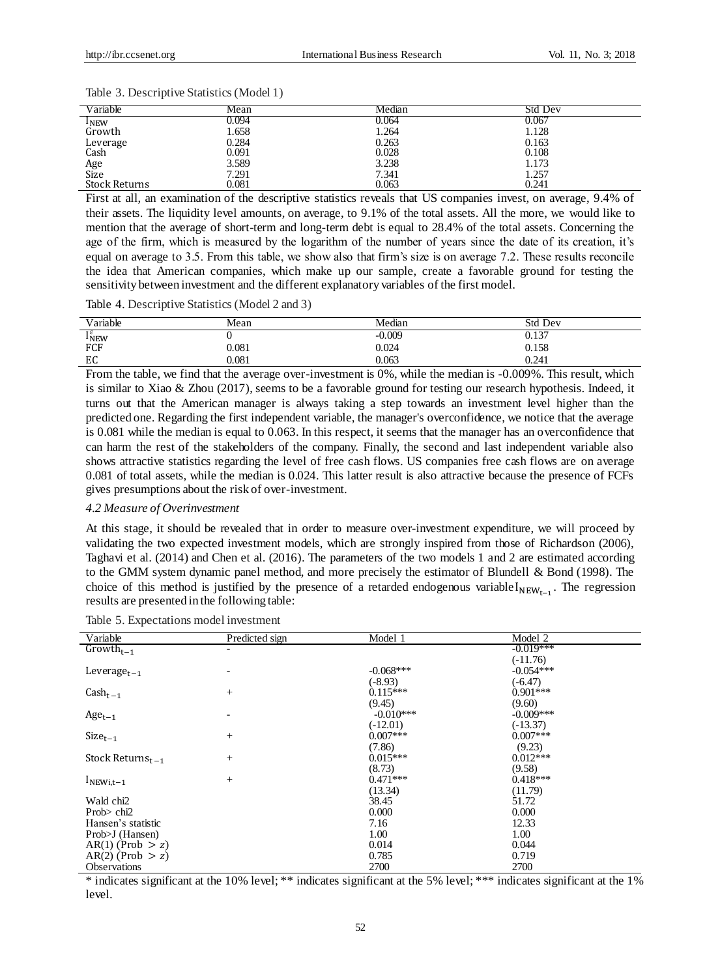| Variable             | Mean  | Median | <b>Std Dev</b> |  |
|----------------------|-------|--------|----------------|--|
| <sup>1</sup> NEW     | 0.094 | 0.064  | 0.067          |  |
| Growth               | 1.658 | 1.264  | 1.128          |  |
|                      | 0.284 | 0.263  | 0.163          |  |
| Leverage<br>Cash     | 0.091 | 0.028  | 0.108          |  |
| Age<br>Size          | 3.589 | 3.238  | 1.173          |  |
|                      | 7.291 | 7.341  | 1.257          |  |
| <b>Stock Returns</b> | 0.081 | 0.063  | 0.241          |  |

Table 3. Descriptive Statistics (Model 1)

First at all, an examination of the descriptive statistics reveals that US companies invest, on average, 9.4% of their assets. The liquidity level amounts, on average, to 9.1% of the total assets. All the more, we would like to mention that the average of short-term and long-term debt is equal to 28.4% of the total assets. Concerning the age of the firm, which is measured by the logarithm of the number of years since the date of its creation, it's equal on average to 3.5. From this table, we show also that firm's size is on average 7.2. These results reconcile the idea that American companies, which make up our sample, create a favorable ground for testing the sensitivity between investment and the different explanatory variables of the first model.

Table 4. Descriptive Statistics (Model 2 and 3)

| Variable         | Mean  | Median | <b>Std Dev</b> |
|------------------|-------|--------|----------------|
| <sup>1</sup> NEW |       | -0.009 | 0.137          |
| FCF              | 0.081 | 0.024  | 0.158          |
| EC               | 0.081 | 0.063  | 0.241          |

From the table, we find that the average over-investment is 0%, while the median is -0.009%. This result, which is similar to Xiao & Zhou (2017), seems to be a favorable ground for testing our research hypothesis. Indeed, it turns out that the American manager is always taking a step towards an investment level higher than the predicted one. Regarding the first independent variable, the manager's overconfidence, we notice that the average is 0.081 while the median is equal to 0.063. In this respect, it seems that the manager has an overconfidence that can harm the rest of the stakeholders of the company. Finally, the second and last independent variable also shows attractive statistics regarding the level of free cash flows. US companies free cash flows are on average 0.081 of total assets, while the median is 0.024. This latter result is also attractive because the presence of FCFs gives presumptions about the risk of over-investment.

#### *4.2 Measure of Overinvestment*

At this stage, it should be revealed that in order to measure over-investment expenditure, we will proceed by validating the two expected investment models, which are strongly inspired from those of Richardson (2006), Taghavi et al. (2014) and Chen et al. (2016). The parameters of the two models 1 and 2 are estimated according to the GMM system dynamic panel method, and more precisely the estimator of Blundell & Bond (1998). The choice of this method is justified by the presence of a retarded endogenous variableI $_{NEW_{t-1}}$ . The regression results are presented in the following table:

| Variable                     | Predicted sign | Model 1     | Model 2      |  |
|------------------------------|----------------|-------------|--------------|--|
| $Growth_{t-1}$               | ۰              |             | $-0.019***$  |  |
|                              |                |             | $(-11.76)$   |  |
| Leverage $_{t-1}$            | -              | $-0.068***$ | $-0.054***$  |  |
|                              |                | $(-8.93)$   | $(-6.47)$    |  |
| $Cash_{t-1}$                 | $^{+}$         | $0.115***$  | $0.901***$   |  |
|                              |                | (9.45)      | (9.60)       |  |
| $Age_{t-1}$                  | -              | $-0.010***$ | $-0.009$ *** |  |
|                              |                | $(-12.01)$  | $(-13.37)$   |  |
| $Size_{t-1}$                 | $^{+}$         | $0.007***$  | $0.007***$   |  |
|                              |                | (7.86)      | (9.23)       |  |
| Stock Returns <sub>t-1</sub> | $^{+}$         | $0.015***$  | $0.012***$   |  |
|                              |                | (8.73)      | (9.58)       |  |
| $I_{NEWi,t-1}$               | $^{+}$         | $0.471***$  | $0.418***$   |  |
|                              |                | (13.34)     | (11.79)      |  |
| Wald chi <sub>2</sub>        |                | 38.45       | 51.72        |  |
| Prob $>$ chi2                |                | 0.000       | 0.000        |  |
| Hansen's statistic           |                | 7.16        | 12.33        |  |
| Prob>J (Hansen)              |                | 1.00        | 1.00         |  |
| $AR(1)$ (Prob $> z$ )        |                | 0.014       | 0.044        |  |
| $AR(2)$ (Prob $> z$ )        |                | 0.785       | 0.719        |  |
| Observations                 |                | 2700        | 2700         |  |

\* indicates significant at the 10% level; \*\* indicates significant at the 5% level; \*\*\* indicates significant at the 1% level.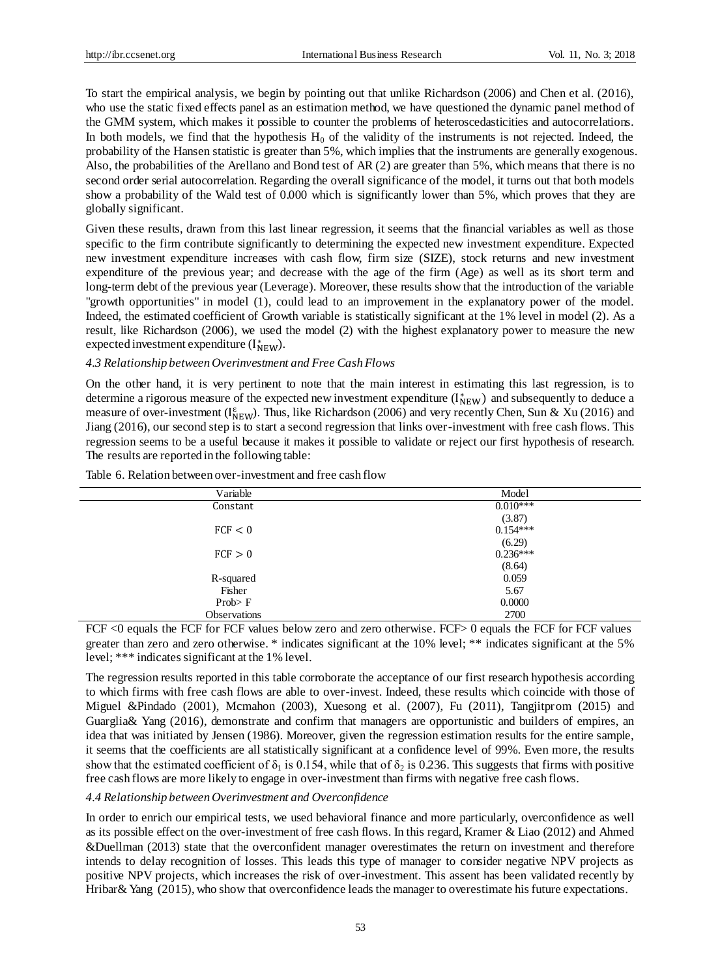To start the empirical analysis, we begin by pointing out that unlike Richardson (2006) and Chen et al. (2016), who use the static fixed effects panel as an estimation method, we have questioned the dynamic panel method of the GMM system, which makes it possible to counter the problems of heteroscedasticities and autocorrelations. In both models, we find that the hypothesis  $H_0$  of the validity of the instruments is not rejected. Indeed, the probability of the Hansen statistic is greater than 5%, which implies that the instruments are generally exogenous. Also, the probabilities of the Arellano and Bond test of AR (2) are greater than 5%, which means that there is no second order serial autocorrelation. Regarding the overall significance of the model, it turns out that both models show a probability of the Wald test of 0.000 which is significantly lower than 5%, which proves that they are globally significant.

Given these results, drawn from this last linear regression, it seems that the financial variables as well as those specific to the firm contribute significantly to determining the expected new investment expenditure. Expected new investment expenditure increases with cash flow, firm size (SIZE), stock returns and new investment expenditure of the previous year; and decrease with the age of the firm (Age) as well as its short term and long-term debt of the previous year (Leverage). Moreover, these results show that the introduction of the variable "growth opportunities" in model (1), could lead to an improvement in the explanatory power of the model. Indeed, the estimated coefficient of Growth variable is statistically significant at the 1% level in model (2). As a result, like Richardson (2006), we used the model (2) with the highest explanatory power to measure the new expected investment expenditure  $(I_{NEW}^*)$ .

# *4.3 Relationship between Overinvestment and Free Cash Flows*

On the other hand, it is very pertinent to note that the main interest in estimating this last regression, is to determine a rigorous measure of the expected new investment expenditure  $(I_{NEW}^*)$  and subsequently to deduce a measure of over-investment ( $I_{NEW}^{\epsilon}$ ). Thus, like Richardson (2006) and very recently Chen, Sun & Xu (2016) and Jiang (2016), our second step is to start a second regression that links over-investment with free cash flows. This regression seems to be a useful because it makes it possible to validate or reject our first hypothesis of research. The results are reported in the following table:

| Variable     | Model      |
|--------------|------------|
| Constant     | $0.010***$ |
|              | (3.87)     |
| FCF < 0      | $0.154***$ |
|              | (6.29)     |
| FCF > 0      | $0.236***$ |
|              | (8.64)     |
| R-squared    | 0.059      |
| Fisher       | 5.67       |
| $Prob$ F     | 0.0000     |
| Observations | 2700       |

Table 6. Relation between over-investment and free cash flow

FCF <0 equals the FCF for FCF values below zero and zero otherwise. FCF> 0 equals the FCF for FCF values greater than zero and zero otherwise. \* indicates significant at the 10% level; \*\* indicates significant at the 5% level; \*\*\* indicates significant at the 1% level.

The regression results reported in this table corroborate the acceptance of our first research hypothesis according to which firms with free cash flows are able to over-invest. Indeed, these results which coincide with those of Miguel &Pindado (2001), Mcmahon (2003), Xuesong et al. (2007), Fu (2011), Tangjitprom (2015) and Guarglia& Yang (2016), demonstrate and confirm that managers are opportunistic and builders of empires, an idea that was initiated by Jensen (1986). Moreover, given the regression estimation results for the entire sample, it seems that the coefficients are all statistically significant at a confidence level of 99%. Even more, the results show that the estimated coefficient of  $\delta_1$  is 0.154, while that of  $\delta_2$  is 0.236. This suggests that firms with positive free cash flows are more likely to engage in over-investment than firms with negative free cash flows.

## *4.4 Relationship between Overinvestment and Overconfidence*

In order to enrich our empirical tests, we used behavioral finance and more particularly, overconfidence as well as its possible effect on the over-investment of free cash flows. In this regard, Kramer & Liao (2012) and Ahmed &Duellman (2013) state that the overconfident manager overestimates the return on investment and therefore intends to delay recognition of losses. This leads this type of manager to consider negative NPV projects as positive NPV projects, which increases the risk of over-investment. This assent has been validated recently by Hribar& Yang (2015), who show that overconfidence leads the manager to overestimate his future expectations.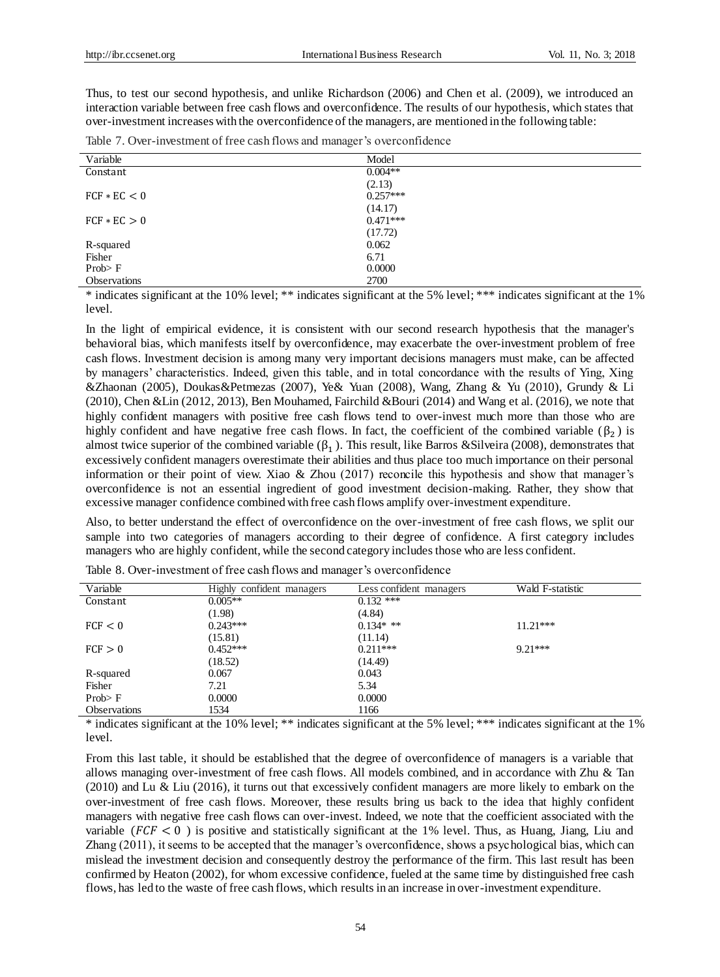Thus, to test our second hypothesis, and unlike Richardson (2006) and Chen et al. (2009), we introduced an interaction variable between free cash flows and overconfidence. The results of our hypothesis, which states that over-investment increases with the overconfidence of the managers, are mentioned in the following table:

Table 7. Over-investment of free cash flows and manager's overconfidence

| Variable                | Model                 |
|-------------------------|-----------------------|
| Constant                | $0.004**$             |
| $FCF * EC < 0$          | (2.13)<br>$0.257***$  |
|                         |                       |
| $FCF * EC > 0$          | (14.17)<br>$0.471***$ |
|                         | (17.72)               |
| R-squared               | 0.062                 |
| Fisher                  | 6.71                  |
| Prob $\triangleright$ F | 0.0000                |
| Observations            | 2700                  |

\* indicates significant at the 10% level; \*\* indicates significant at the 5% level; \*\*\* indicates significant at the 1% level.

In the light of empirical evidence, it is consistent with our second research hypothesis that the manager's behavioral bias, which manifests itself by overconfidence, may exacerbate the over-investment problem of free cash flows. Investment decision is among many very important decisions managers must make, can be affected by managers' characteristics. Indeed, given this table, and in total concordance with the results of Ying, Xing &Zhaonan (2005), Doukas&Petmezas (2007), Ye& Yuan (2008), Wang, Zhang & Yu (2010), Grundy & Li (2010), Chen &Lin (2012, 2013), Ben Mouhamed, Fairchild &Bouri (2014) and Wang et al. (2016), we note that highly confident managers with positive free cash flows tend to over-invest much more than those who are highly confident and have negative free cash flows. In fact, the coefficient of the combined variable  $(\beta_2)$  is almost twice superior of the combined variable  $(\beta_1)$ . This result, like Barros &Silveira (2008), demonstrates that excessively confident managers overestimate their abilities and thus place too much importance on their personal information or their point of view. Xiao & Zhou (2017) reconcile this hypothesis and show that manager's overconfidence is not an essential ingredient of good investment decision-making. Rather, they show that excessive manager confidence combined with free cash flows amplify over-investment expenditure.

Also, to better understand the effect of overconfidence on the over-investment of free cash flows, we split our sample into two categories of managers according to their degree of confidence. A first category includes managers who are highly confident, while the second category includes those who are less confident.

| Variable            | Highly confident managers | Less confident managers | Wald F-statistic |
|---------------------|---------------------------|-------------------------|------------------|
| Constant            | $0.005**$                 | $0.132$ ***             |                  |
|                     | (1.98)                    | (4.84)                  |                  |
| FCF < 0             | $0.243***$                | $0.134**$               | $11.21***$       |
|                     | (15.81)                   | (11.14)                 |                  |
| FCF > 0             | $0.452***$                | $0.211***$              | $9.21***$        |
|                     | (18.52)                   | (14.49)                 |                  |
| R-squared           | 0.067                     | 0.043                   |                  |
| Fisher              | 7.21                      | 5.34                    |                  |
| Prob>F              | 0.0000                    | 0.0000                  |                  |
| <b>Observations</b> | 1534                      | 1166                    |                  |

Table 8. Over-investment of free cash flows and manager's overconfidence

\* indicates significant at the 10% level; \*\* indicates significant at the 5% level; \*\*\* indicates significant at the 1% level.

From this last table, it should be established that the degree of overconfidence of managers is a variable that allows managing over-investment of free cash flows. All models combined, and in accordance with Zhu & Tan (2010) and Lu & Liu (2016), it turns out that excessively confident managers are more likely to embark on the over-investment of free cash flows. Moreover, these results bring us back to the idea that highly confident managers with negative free cash flows can over-invest. Indeed, we note that the coefficient associated with the variable ( $FCF < 0$ ) is positive and statistically significant at the 1% level. Thus, as Huang, Jiang, Liu and Zhang (2011), it seems to be accepted that the manager's overconfidence, shows a psychological bias, which can mislead the investment decision and consequently destroy the performance of the firm. This last result has been confirmed by Heaton (2002), for whom excessive confidence, fueled at the same time by distinguished free cash flows, has led to the waste of free cash flows, which results in an increase in over-investment expenditure.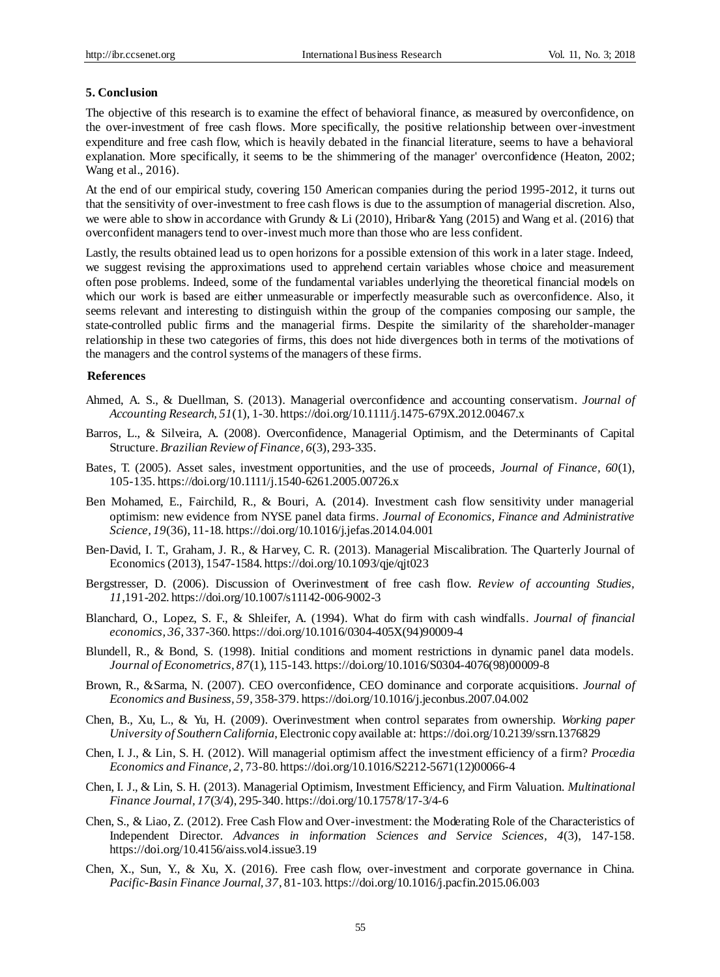#### **5. Conclusion**

The objective of this research is to examine the effect of behavioral finance, as measured by overconfidence, on the over-investment of free cash flows. More specifically, the positive relationship between over-investment expenditure and free cash flow, which is heavily debated in the financial literature, seems to have a behavioral explanation. More specifically, it seems to be the shimmering of the manager' overconfidence (Heaton, 2002; Wang et al., 2016).

At the end of our empirical study, covering 150 American companies during the period 1995-2012, it turns out that the sensitivity of over-investment to free cash flows is due to the assumption of managerial discretion. Also, we were able to show in accordance with Grundy & Li (2010), Hribar& Yang (2015) and Wang et al. (2016) that overconfident managers tend to over-invest much more than those who are less confident.

Lastly, the results obtained lead us to open horizons for a possible extension of this work in a later stage. Indeed, we suggest revising the approximations used to apprehend certain variables whose choice and measurement often pose problems. Indeed, some of the fundamental variables underlying the theoretical financial models on which our work is based are either unmeasurable or imperfectly measurable such as overconfidence. Also, it seems relevant and interesting to distinguish within the group of the companies composing our sample, the state-controlled public firms and the managerial firms. Despite the similarity of the shareholder-manager relationship in these two categories of firms, this does not hide divergences both in terms of the motivations of the managers and the control systems of the managers of these firms.

#### **References**

- Ahmed, A. S., & Duellman, S. (2013). Managerial overconfidence and accounting conservatism. *Journal of Accounting Research, 51*(1), 1-30. https://doi.org/10.1111/j.1475-679X.2012.00467.x
- Barros, L., & Silveira, A. (2008). Overconfidence, Managerial Optimism, and the Determinants of Capital Structure. *Brazilian Review of Finance, 6*(3), 293-335.
- Bates, T. (2005). Asset sales, investment opportunities, and the use of proceeds, *Journal of Finance, 60*(1), 105-135. https://doi.org/10.1111/j.1540-6261.2005.00726.x
- Ben Mohamed, E., Fairchild, R., & Bouri, A. (2014). Investment cash flow sensitivity under managerial optimism: new evidence from NYSE panel data firms*. [Journal of Economics, Finance and Administrative](https://www.google.tn/url?sa=t&rct=j&q=&esrc=s&source=web&cd=2&cad=rja&uact=8&ved=0ahUKEwjpp4uZrc7RAhWDBsAKHVRaAvoQFggiMAE&url=https%3A%2F%2Fwww.journals.elsevier.com%2Fjournal-of-economics-finance-and-administrative-science%2F&usg=AFQjCNEzi8oDd966JZXeKWt0fgqFnftKsQ)  [Science,](https://www.google.tn/url?sa=t&rct=j&q=&esrc=s&source=web&cd=2&cad=rja&uact=8&ved=0ahUKEwjpp4uZrc7RAhWDBsAKHVRaAvoQFggiMAE&url=https%3A%2F%2Fwww.journals.elsevier.com%2Fjournal-of-economics-finance-and-administrative-science%2F&usg=AFQjCNEzi8oDd966JZXeKWt0fgqFnftKsQ) 19*(36), 11-18. https://doi.org/10.1016/j.jefas.2014.04.001
- Ben-David, I. T., Graham, J. R., & Harvey, C. R. (2013). Managerial Miscalibration. The Quarterly Journal of Economics (2013), 1547-1584. https://doi.org/10.1093/qje/qjt023
- Bergstresser, D. (2006). Discussion of Overinvestment of free cash flow. *Review of accounting Studies, 11*,191-202. https://doi.org/10.1007/s11142-006-9002-3
- Blanchard, O., Lopez, S. F., & Shleifer, A. (1994). What do firm with cash windfalls. *Journal of financial economics, 36*, 337-360. https://doi.org/10.1016/0304-405X(94)90009-4
- Blundell, R., & Bond, S. (1998). Initial conditions and moment restrictions in dynamic panel data models. *Journal of Econometrics, 87*(1), 115-143. https://doi.org/10.1016/S0304-4076(98)00009-8
- Brown, R., &Sarma, N. (2007). CEO overconfidence, CEO dominance and corporate acquisitions. *Journal of Economics and Business, 59*, 358-379. https://doi.org/10.1016/j.jeconbus.2007.04.002
- Chen, B., Xu, L., & Yu, H. (2009). Overinvestment when control separates from ownership. *Working paper University of Southern California*, Electronic copy available at: https://doi.org/10.2139/ssrn.1376829
- Chen, I. J., & Lin, S. H. (2012). Will managerial optimism affect the investment efficiency of a firm? *Procedia Economics and Finance, 2*, 73-80. https://doi.org/10.1016/S2212-5671(12)00066-4
- Chen, I. J., & Lin, S. H. (2013). Managerial Optimism, Investment Efficiency, and Firm Valuation. *Multinational Finance Journal, 17*(3/4), 295-340. https://doi.org/10.17578/17-3/4-6
- Chen, S., & Liao, Z. (2012). Free Cash Flow and Over-investment: the Moderating Role of the Characteristics of Independent Director. *Advances in information Sciences and Service Sciences, 4*(3), 147-158. https://doi.org/10.4156/aiss.vol4.issue3.19
- Chen, X., Sun, Y., & Xu, X. (2016). Free cash flow, over-investment and corporate governance in China. *Pacific-Basin Finance Journal, 37*, 81-103. https://doi.org/10.1016/j.pacfin.2015.06.003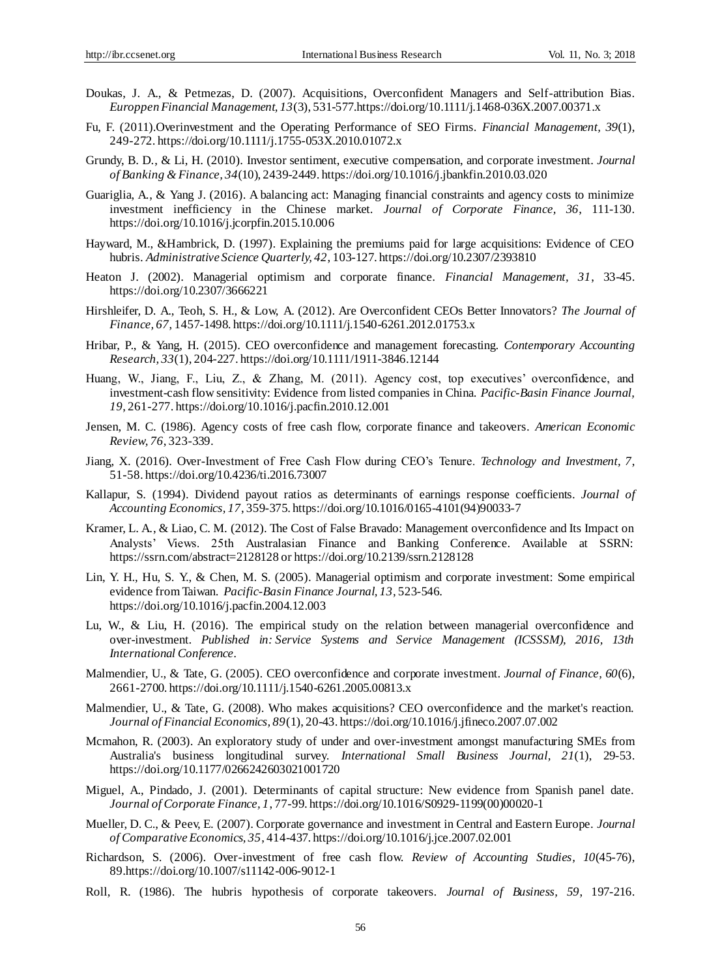- Doukas, J. A., & Petmezas, D. (2007). Acquisitions, Overconfident Managers and Self-attribution Bias. *Europpen Financial Management, 13*(3), 531-577.https://doi.org/10.1111/j.1468-036X.2007.00371.x
- Fu, F. (2011).Overinvestment and the Operating Performance of SEO Firms. *Financial Management, 39*(1), 249-272. https://doi.org/10.1111/j.1755-053X.2010.01072.x
- Grundy, B. D., & Li, H. (2010). Investor sentiment, executive compensation, and corporate investment. *Journal of Banking & Finance, 34*(10), 2439-2449. https://doi.org/10.1016/j.jbankfin.2010.03.020
- Guariglia, A., & Yang J. (2016). A balancing act: Managing financial constraints and agency costs to minimize investment inefficiency in the Chinese market. *Journal of Corporate Finance, 36*, 111-130. https://doi.org/10.1016/j.jcorpfin.2015.10.006
- Hayward, M., &Hambrick, D. (1997). Explaining the premiums paid for large acquisitions: Evidence of CEO hubris. *Administrative Science Quarterly, 42*, 103-127. https://doi.org/10.2307/2393810
- Heaton J. (2002). Managerial optimism and corporate finance. *Financial Management, 31*, 33-45. https://doi.org/10.2307/3666221
- Hirshleifer, D. A., Teoh, S. H., & Low, A. (2012). Are Overconfident CEOs Better Innovators? *The Journal of Finance, 67*, 1457-1498. https://doi.org/10.1111/j.1540-6261.2012.01753.x
- Hribar, P., & Yang, H. (2015). CEO overconfidence and management forecasting. *Contemporary Accounting Research, 33*(1), 204-227. https://doi.org/10.1111/1911-3846.12144
- Huang, W., Jiang, F., Liu, Z., & Zhang, M. (2011). Agency cost, top executives' overconfidence, and investment-cash flow sensitivity: Evidence from listed companies in China. *Pacific-Basin Finance Journal, 19*, 261-277. https://doi.org/10.1016/j.pacfin.2010.12.001
- Jensen, M. C. (1986). Agency costs of free cash flow, corporate finance and takeovers. *American Economic Review, 76*, 323-339.
- Jiang, X. (2016). Over-Investment of Free Cash Flow during CEO's Tenure. *Technology and Investment, 7*, 51-58. https://doi.org/10.4236/ti.2016.73007
- Kallapur, S. (1994). Dividend payout ratios as determinants of earnings response coefficients. *Journal of Accounting Economics, 17*, 359-375. https://doi.org/10.1016/0165-4101(94)90033-7
- Kramer, L. A., & Liao, C. M. (2012). The Cost of False Bravado: Management overconfidence and Its Impact on Analysts' Views. 25th Australasian Finance and Banking Conference. Available at SSRN: <https://ssrn.com/abstract=2128128> or https://doi.org/10.2139/ssrn.2128128
- Lin, Y. H., Hu, S. Y., & Chen, M. S. (2005). Managerial optimism and corporate investment: Some empirical evidence from Taiwan. *Pacific-Basin Finance Journal, 13*, 523-546. https://doi.org/10.1016/j.pacfin.2004.12.003
- Lu, W., & Liu, H. (2016). The empirical study on the relation between managerial overconfidence and over-investment. *Published in: [Service Systems and Service Management \(ICSSSM\), 2016, 13th](http://ieeexplore.ieee.org/xpl/mostRecentIssue.jsp?punumber=7527137)  [International Conference.](http://ieeexplore.ieee.org/xpl/mostRecentIssue.jsp?punumber=7527137)*
- Malmendier, U., & Tate, G. (2005). CEO overconfidence and corporate investment. *Journal of Finance, 60*(6), 2661-2700. https://doi.org/10.1111/j.1540-6261.2005.00813.x
- Malmendier, U., & Tate, G. (2008). Who makes acquisitions? CEO overconfidence and the market's reaction. *Journal of Financial Economics, 89*(1), 20-43. https://doi.org/10.1016/j.jfineco.2007.07.002
- Mcmahon, R. (2003). An exploratory study of under and over-investment amongst manufacturing SMEs from Australia's business longitudinal survey. *International Small Business Journal, 21*(1), 29-53. https://doi.org/10.1177/0266242603021001720
- Miguel, A., Pindado, J. (2001). Determinants of capital structure: New evidence from Spanish panel date. *Journal of Corporate Finance, 1*, 77-99. https://doi.org/10.1016/S0929-1199(00)00020-1
- Mueller, D. C., & Peev, E. (2007). Corporate governance and investment in Central and Eastern Europe. *Journal of Comparative Economics, 35*, 414-437. https://doi.org/10.1016/j.jce.2007.02.001
- Richardson, S. (2006). Over-investment of free cash flow. *Review of Accounting Studies, 10*(45-76), 89.https://doi.org/10.1007/s11142-006-9012-1
- Roll, R. (1986). The hubris hypothesis of corporate takeovers. *Journal of Business, 59*, 197-216.